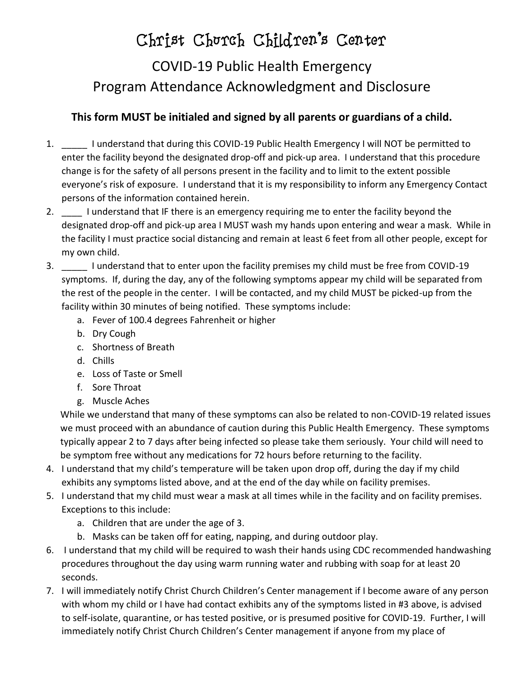## Christ Church Children's Center

## COVID-19 Public Health Emergency Program Attendance Acknowledgment and Disclosure

## **This form MUST be initialed and signed by all parents or guardians of a child.**

- 1. \_\_\_\_\_ I understand that during this COVID-19 Public Health Emergency I will NOT be permitted to enter the facility beyond the designated drop-off and pick-up area. I understand that this procedure change is for the safety of all persons present in the facility and to limit to the extent possible everyone's risk of exposure. I understand that it is my responsibility to inform any Emergency Contact persons of the information contained herein.
- 2. I understand that IF there is an emergency requiring me to enter the facility beyond the designated drop-off and pick-up area I MUST wash my hands upon entering and wear a mask. While in the facility I must practice social distancing and remain at least 6 feet from all other people, except for my own child.
- 3. \_\_\_\_\_ I understand that to enter upon the facility premises my child must be free from COVID-19 symptoms. If, during the day, any of the following symptoms appear my child will be separated from the rest of the people in the center. I will be contacted, and my child MUST be picked-up from the facility within 30 minutes of being notified. These symptoms include:
	- a. Fever of 100.4 degrees Fahrenheit or higher
	- b. Dry Cough
	- c. Shortness of Breath
	- d. Chills
	- e. Loss of Taste or Smell
	- f. Sore Throat
	- g. Muscle Aches

While we understand that many of these symptoms can also be related to non-COVID-19 related issues we must proceed with an abundance of caution during this Public Health Emergency. These symptoms typically appear 2 to 7 days after being infected so please take them seriously. Your child will need to be symptom free without any medications for 72 hours before returning to the facility.

- 4. I understand that my child's temperature will be taken upon drop off, during the day if my child exhibits any symptoms listed above, and at the end of the day while on facility premises.
- 5. I understand that my child must wear a mask at all times while in the facility and on facility premises. Exceptions to this include:
	- a. Children that are under the age of 3.
	- b. Masks can be taken off for eating, napping, and during outdoor play.
- 6. I understand that my child will be required to wash their hands using CDC recommended handwashing procedures throughout the day using warm running water and rubbing with soap for at least 20 seconds.
- 7. I will immediately notify Christ Church Children's Center management if I become aware of any person with whom my child or I have had contact exhibits any of the symptoms listed in #3 above, is advised to self-isolate, quarantine, or has tested positive, or is presumed positive for COVID-19. Further, I will immediately notify Christ Church Children's Center management if anyone from my place of